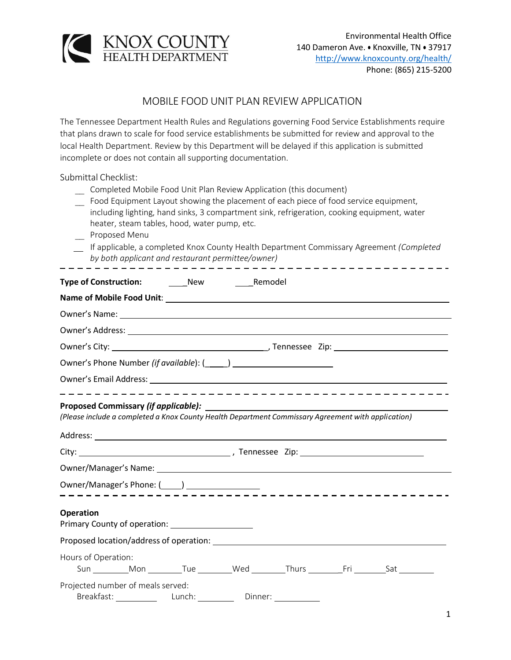

## MOBILE FOOD UNIT PLAN REVIEW APPLICATION

The Tennessee Department Health Rules and Regulations governing Food Service Establishments require that plans drawn to scale for food service establishments be submitted for review and approval to the local Health Department. Review by this Department will be delayed if this application is submitted incomplete or does not contain all supporting documentation.

Submittal Checklist:

- Completed Mobile Food Unit Plan Review Application (this document)
- Food Equipment Layout showing the placement of each piece of food service equipment, including lighting, hand sinks, 3 compartment sink, refrigeration, cooking equipment, water heater, steam tables, hood, water pump, etc.
- Proposed Menu
- If applicable, a completed Knox County Health Department Commissary Agreement *(Completed by both applicant and restaurant permittee/owner)*

| <b>Type of Construction:</b> New                      | <b>Remodel</b>                                                                                                                                                                                                                 |  |
|-------------------------------------------------------|--------------------------------------------------------------------------------------------------------------------------------------------------------------------------------------------------------------------------------|--|
|                                                       | Name of Mobile Food Unit: Name of Mobile Products and Security and Security and Security and Security and Security and Security and Security and Security and Security and Security and Security and Security and Security and |  |
|                                                       |                                                                                                                                                                                                                                |  |
|                                                       |                                                                                                                                                                                                                                |  |
|                                                       |                                                                                                                                                                                                                                |  |
|                                                       |                                                                                                                                                                                                                                |  |
|                                                       |                                                                                                                                                                                                                                |  |
|                                                       | ---------------------------------<br>(Please include a completed a Knox County Health Department Commissary Agreement with application)                                                                                        |  |
|                                                       |                                                                                                                                                                                                                                |  |
|                                                       |                                                                                                                                                                                                                                |  |
| Owner/Manager's Phone: (_____) ______________________ |                                                                                                                                                                                                                                |  |
| <b>Operation</b>                                      |                                                                                                                                                                                                                                |  |
|                                                       |                                                                                                                                                                                                                                |  |
| Hours of Operation:                                   |                                                                                                                                                                                                                                |  |
| Projected number of meals served:                     | Breakfast: Lunch: Dinner: Dinner:                                                                                                                                                                                              |  |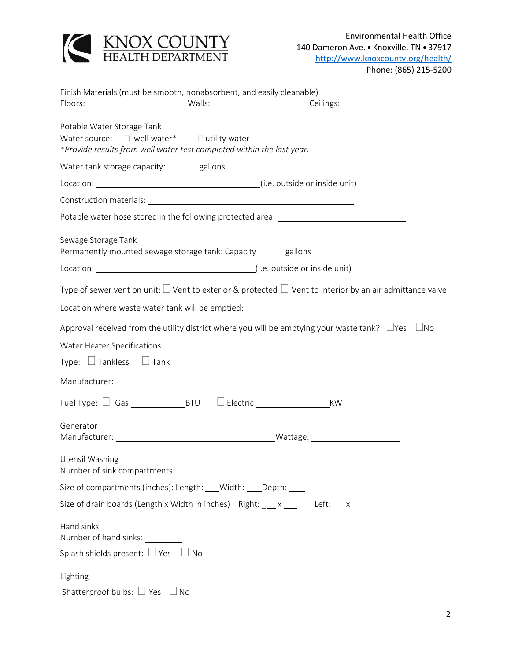

| Finish Materials (must be smooth, nonabsorbent, and easily cleanable)                                                                              |  |  |  |  |
|----------------------------------------------------------------------------------------------------------------------------------------------------|--|--|--|--|
| Potable Water Storage Tank<br>Water source: □ well water* □ utility water<br>*Provide results from well water test completed within the last year. |  |  |  |  |
| Water tank storage capacity: _______gallons                                                                                                        |  |  |  |  |
|                                                                                                                                                    |  |  |  |  |
|                                                                                                                                                    |  |  |  |  |
| Potable water hose stored in the following protected area: ______________________                                                                  |  |  |  |  |
| Sewage Storage Tank<br>Permanently mounted sewage storage tank: Capacity ______gallons                                                             |  |  |  |  |
|                                                                                                                                                    |  |  |  |  |
| Type of sewer vent on unit: $\Box$ Vent to exterior & protected $\Box$ Vent to interior by an air admittance valve                                 |  |  |  |  |
| Location where waste water tank will be emptied: Latin Management and the management of the management of the                                      |  |  |  |  |
| Approval received from the utility district where you will be emptying your waste tank? $\Box$ Yes $\Box$ No                                       |  |  |  |  |
| Water Heater Specifications<br>Type: $\Box$ Tankless $\Box$ Tank                                                                                   |  |  |  |  |
|                                                                                                                                                    |  |  |  |  |
|                                                                                                                                                    |  |  |  |  |
| Generator<br>Manufacturer: Manufacturer: Manufacturer: Manufacturer: Manufacturer: Manufacturer: Manufacturer: Manufacturer                        |  |  |  |  |
| Utensil Washing<br>Number of sink compartments:                                                                                                    |  |  |  |  |
| Size of compartments (inches): Length: ___ Width: ___ Depth: ___                                                                                   |  |  |  |  |
| Size of drain boards (Length x Width in inches) Right: __ x __ Left: __ x __                                                                       |  |  |  |  |
| Hand sinks<br>Number of hand sinks: _________                                                                                                      |  |  |  |  |
| Splash shields present: $\Box$ Yes $\Box$ No                                                                                                       |  |  |  |  |
| Lighting                                                                                                                                           |  |  |  |  |
| Shatterproof bulbs: $\Box$ Yes $\Box$ No                                                                                                           |  |  |  |  |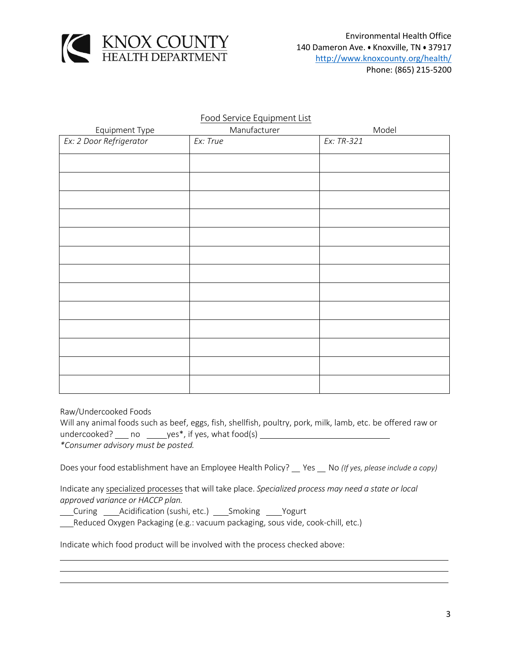

## Food Service Equipment List

| Equipment Type          | Manufacturer | Model      |
|-------------------------|--------------|------------|
| Ex: 2 Door Refrigerator | Ex: True     | Ex: TR-321 |
|                         |              |            |
|                         |              |            |
|                         |              |            |
|                         |              |            |
|                         |              |            |
|                         |              |            |
|                         |              |            |
|                         |              |            |
|                         |              |            |
|                         |              |            |
|                         |              |            |
|                         |              |            |
|                         |              |            |
|                         |              |            |

Raw/Undercooked Foods

Will any animal foods such as beef, eggs, fish, shellfish, poultry, pork, milk, lamb, etc. be offered raw or  $undercode?$  no  $y$ es\*, if yes, what food(s)  $y$ *\*Consumer advisory must be posted.*

Does your food establishment have an Employee Health Policy? \_\_ Yes \_\_ No (If yes, please include a copy)

Indicate any specialized processes that will take place. *Specialized process may need a state or local approved variance or HACCP plan.*

Curing *\_\_\_\_* Acidification (sushi, etc.) \_\_\_\_ Smoking \_\_\_\_ Yogurt

Reduced Oxygen Packaging (e.g.: vacuum packaging, sous vide, cook-chill, etc.)

Indicate which food product will be involved with the process checked above: